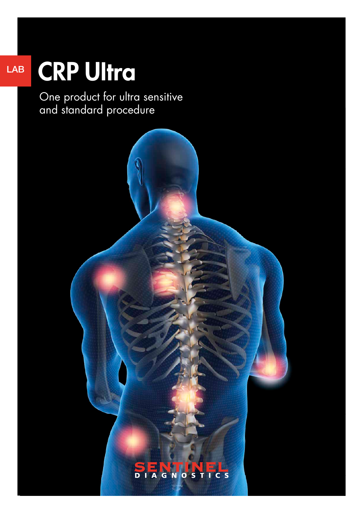## LAB

# CRP Ultra

One product for ultra sensitive and standard procedure

## **SENTINEL**